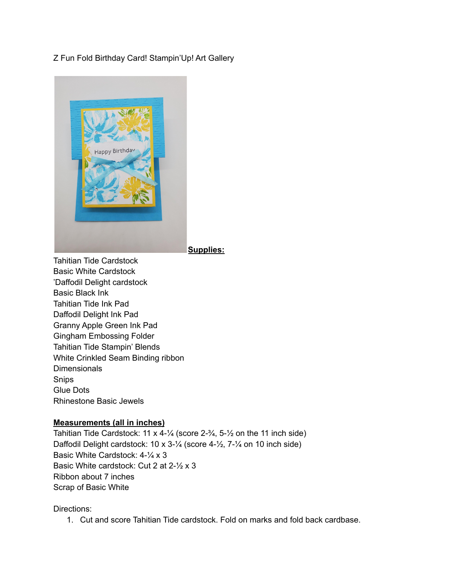Z Fun Fold Birthday Card! Stampin'Up! Art Gallery



**Supplies:**

Tahitian Tide Cardstock Basic White Cardstock 'Daffodil Delight cardstock Basic Black Ink Tahitian Tide Ink Pad Daffodil Delight Ink Pad Granny Apple Green Ink Pad Gingham Embossing Folder Tahitian Tide Stampin' Blends White Crinkled Seam Binding ribbon **Dimensionals** Snips Glue Dots Rhinestone Basic Jewels

## **Measurements (all in inches)**

Tahitian Tide Cardstock: 11 x 4- $\frac{1}{4}$  (score 2- $\frac{3}{4}$ , 5- $\frac{1}{2}$  on the 11 inch side) Daffodil Delight cardstock: 10 x 3-1/<sub>4</sub> (score 4-1/<sub>2</sub>, 7-1/<sub>4</sub> on 10 inch side) Basic White Cardstock: 4-¼ x 3 Basic White cardstock: Cut 2 at 2-½ x 3 Ribbon about 7 inches Scrap of Basic White

Directions:

1. Cut and score Tahitian Tide cardstock. Fold on marks and fold back cardbase.